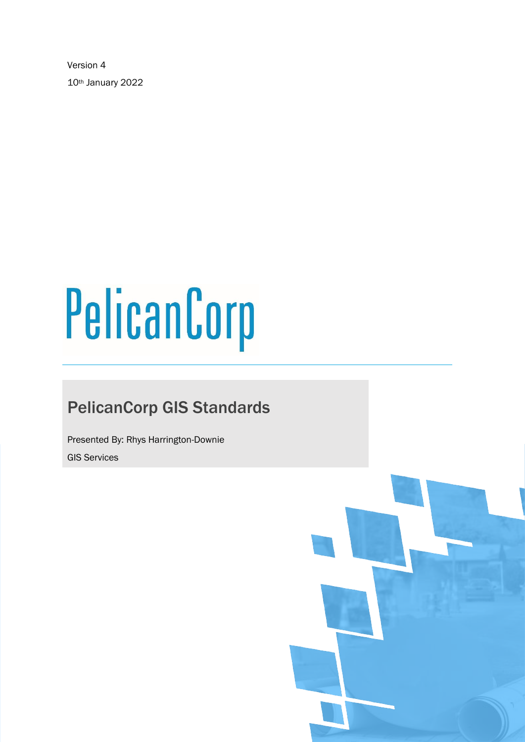Version 4 10th January 2022

# PelicanCorp

# PelicanCorp GIS Standards

Presented By: Rhys Harrington-Downie GIS Services

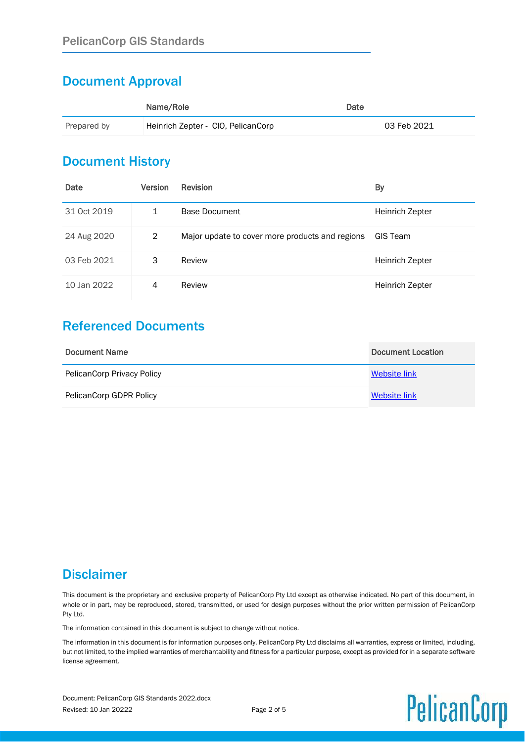# Document Approval

|             | Name/Role                          | Date |             |
|-------------|------------------------------------|------|-------------|
| Prepared by | Heinrich Zepter - CIO, PelicanCorp |      | 03 Feb 2021 |

# Document History

| Date        | <b>Version</b> | <b>Revision</b>                                 | By                     |
|-------------|----------------|-------------------------------------------------|------------------------|
| 31 Oct 2019 | 1              | Base Document                                   | <b>Heinrich Zepter</b> |
| 24 Aug 2020 | 2              | Major update to cover more products and regions | GIS Team               |
| 03 Feb 2021 | 3              | Review                                          | Heinrich Zepter        |
| 10 Jan 2022 | 4              | Review                                          | Heinrich Zepter        |

# Referenced Documents

| Document Name                     | Document Location |
|-----------------------------------|-------------------|
| <b>PelicanCorp Privacy Policy</b> | Website link      |
| PelicanCorp GDPR Policy           | Website link      |

# **Disclaimer**

This document is the proprietary and exclusive property of PelicanCorp Pty Ltd except as otherwise indicated. No part of this document, in whole or in part, may be reproduced, stored, transmitted, or used for design purposes without the prior written permission of PelicanCorp Pty Ltd.

The information contained in this document is subject to change without notice.

The information in this document is for information purposes only. PelicanCorp Pty Ltd disclaims all warranties, express or limited, including, but not limited, to the implied warranties of merchantability and fitness for a particular purpose, except as provided for in a separate software license agreement.

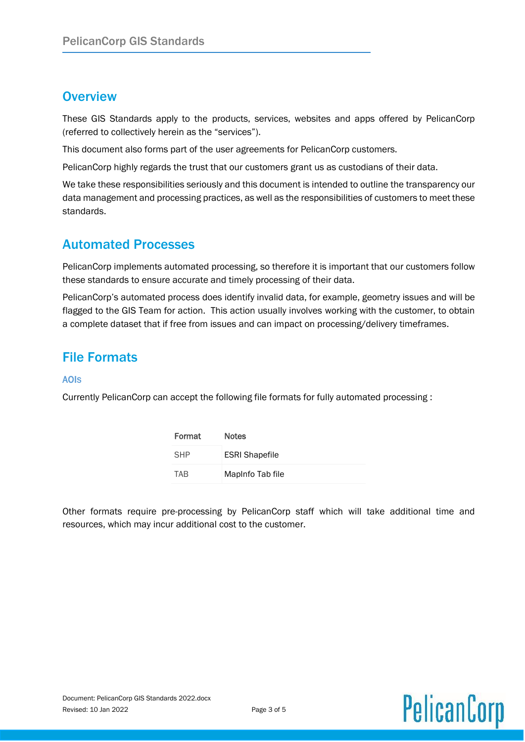# **Overview**

These GIS Standards apply to the products, services, websites and apps offered by PelicanCorp (referred to collectively herein as the "services").

This document also forms part of the user agreements for PelicanCorp customers.

PelicanCorp highly regards the trust that our customers grant us as custodians of their data.

We take these responsibilities seriously and this document is intended to outline the transparency our data management and processing practices, as well as the responsibilities of customers to meet these standards.

# Automated Processes

PelicanCorp implements automated processing, so therefore it is important that our customers follow these standards to ensure accurate and timely processing of their data.

PelicanCorp's automated process does identify invalid data, for example, geometry issues and will be flagged to the GIS Team for action. This action usually involves working with the customer, to obtain a complete dataset that if free from issues and can impact on processing/delivery timeframes.

# File Formats

### AOIS

Currently PelicanCorp can accept the following file formats for fully automated processing :

| Format     | <b>Notes</b>          |
|------------|-----------------------|
| <b>SHP</b> | <b>ESRI Shapefile</b> |
| <b>TAB</b> | MapInfo Tab file      |

Other formats require pre-processing by PelicanCorp staff which will take additional time and resources, which may incur additional cost to the customer.

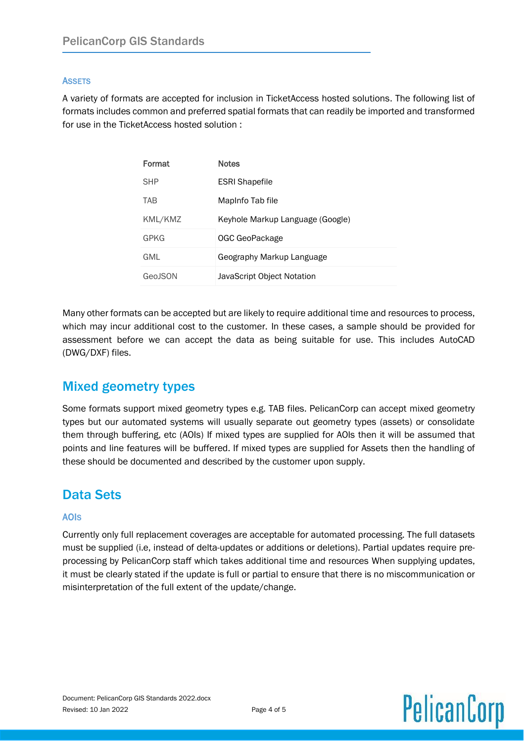### **ASSETS**

A variety of formats are accepted for inclusion in TicketAccess hosted solutions. The following list of formats includes common and preferred spatial formats that can readily be imported and transformed for use in the TicketAccess hosted solution :

| Format     | <b>Notes</b>                     |
|------------|----------------------------------|
| <b>SHP</b> | <b>ESRI Shapefile</b>            |
| TAB        | Mapinfo Tab file                 |
| KML/KMZ    | Keyhole Markup Language (Google) |
| GPKG       | OGC GeoPackage                   |
| GML        | Geography Markup Language        |
| Geo ISON   | JavaScript Object Notation       |

Many other formats can be accepted but are likely to require additional time and resources to process, which may incur additional cost to the customer. In these cases, a sample should be provided for assessment before we can accept the data as being suitable for use. This includes AutoCAD (DWG/DXF) files.

# Mixed geometry types

Some formats support mixed geometry types e.g. TAB files. PelicanCorp can accept mixed geometry types but our automated systems will usually separate out geometry types (assets) or consolidate them through buffering, etc (AOIs) If mixed types are supplied for AOIs then it will be assumed that points and line features will be buffered. If mixed types are supplied for Assets then the handling of these should be documented and described by the customer upon supply.

# Data Sets

### AOIS

Currently only full replacement coverages are acceptable for automated processing. The full datasets must be supplied (i.e, instead of delta-updates or additions or deletions). Partial updates require preprocessing by PelicanCorp staff which takes additional time and resources When supplying updates, it must be clearly stated if the update is full or partial to ensure that there is no miscommunication or misinterpretation of the full extent of the update/change.